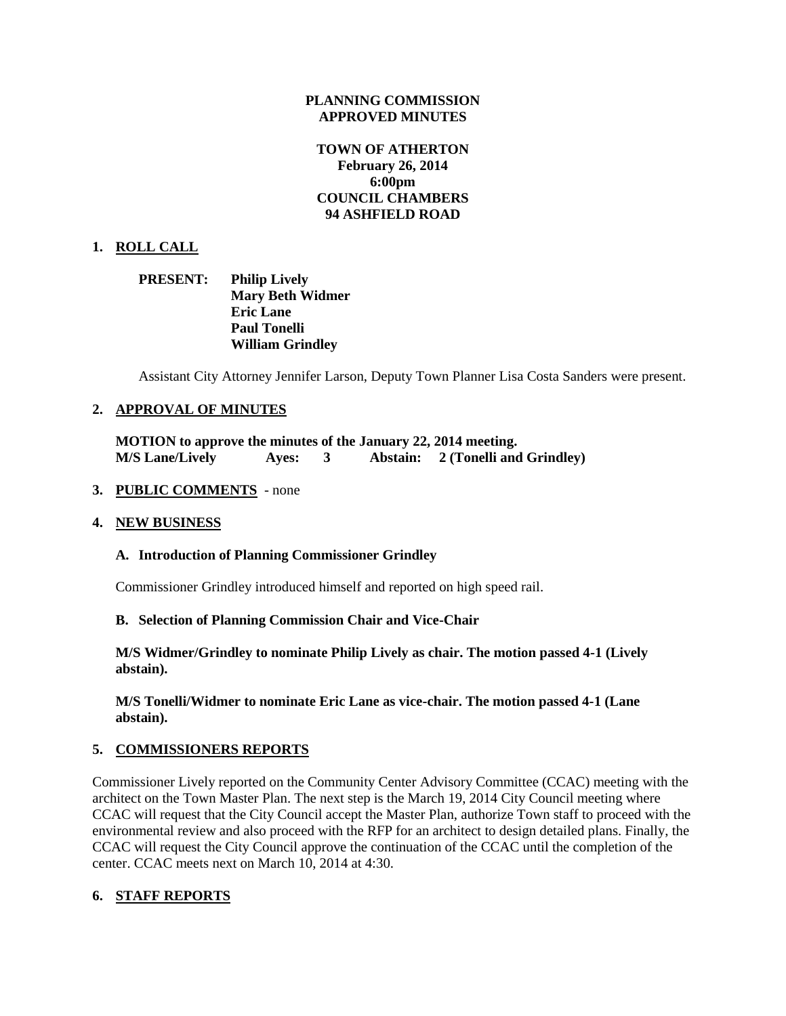### **PLANNING COMMISSION APPROVED MINUTES**

# **TOWN OF ATHERTON February 26, 2014 6:00pm COUNCIL CHAMBERS 94 ASHFIELD ROAD**

# **1. ROLL CALL**

| <b>PRESENT:</b> | <b>Philip Lively</b>    |
|-----------------|-------------------------|
|                 | <b>Mary Beth Widmer</b> |
|                 | <b>Eric Lane</b>        |
|                 | <b>Paul Tonelli</b>     |
|                 | <b>William Grindley</b> |

Assistant City Attorney Jennifer Larson, Deputy Town Planner Lisa Costa Sanders were present.

### **2. APPROVAL OF MINUTES**

**MOTION to approve the minutes of the January 22, 2014 meeting. M/S Lane/Lively Ayes: 3 Abstain: 2 (Tonelli and Grindley)**

### **3. PUBLIC COMMENTS** - none

### **4. NEW BUSINESS**

### **A. Introduction of Planning Commissioner Grindley**

Commissioner Grindley introduced himself and reported on high speed rail.

### **B. Selection of Planning Commission Chair and Vice-Chair**

**M/S Widmer/Grindley to nominate Philip Lively as chair. The motion passed 4-1 (Lively abstain).**

**M/S Tonelli/Widmer to nominate Eric Lane as vice-chair. The motion passed 4-1 (Lane abstain).**

### **5. COMMISSIONERS REPORTS**

Commissioner Lively reported on the Community Center Advisory Committee (CCAC) meeting with the architect on the Town Master Plan. The next step is the March 19, 2014 City Council meeting where CCAC will request that the City Council accept the Master Plan, authorize Town staff to proceed with the environmental review and also proceed with the RFP for an architect to design detailed plans. Finally, the CCAC will request the City Council approve the continuation of the CCAC until the completion of the center. CCAC meets next on March 10, 2014 at 4:30.

# **6. STAFF REPORTS**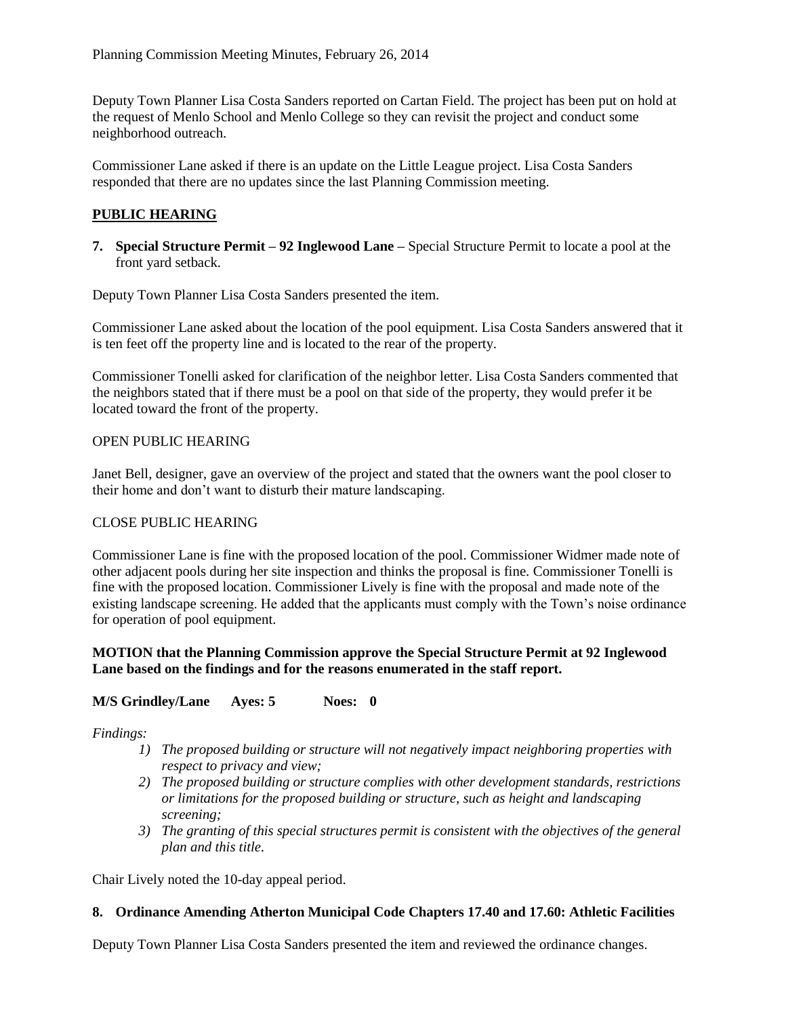Deputy Town Planner Lisa Costa Sanders reported on Cartan Field. The project has been put on hold at the request of Menlo School and Menlo College so they can revisit the project and conduct some neighborhood outreach.

Commissioner Lane asked if there is an update on the Little League project. Lisa Costa Sanders responded that there are no updates since the last Planning Commission meeting.

# **PUBLIC HEARING**

**7. Special Structure Permit – 92 Inglewood Lane –** Special Structure Permit to locate a pool at the front yard setback.

Deputy Town Planner Lisa Costa Sanders presented the item.

Commissioner Lane asked about the location of the pool equipment. Lisa Costa Sanders answered that it is ten feet off the property line and is located to the rear of the property.

Commissioner Tonelli asked for clarification of the neighbor letter. Lisa Costa Sanders commented that the neighbors stated that if there must be a pool on that side of the property, they would prefer it be located toward the front of the property.

# OPEN PUBLIC HEARING

Janet Bell, designer, gave an overview of the project and stated that the owners want the pool closer to their home and don't want to disturb their mature landscaping.

# CLOSE PUBLIC HEARING

Commissioner Lane is fine with the proposed location of the pool. Commissioner Widmer made note of other adjacent pools during her site inspection and thinks the proposal is fine. Commissioner Tonelli is fine with the proposed location. Commissioner Lively is fine with the proposal and made note of the existing landscape screening. He added that the applicants must comply with the Town's noise ordinance for operation of pool equipment.

# **MOTION that the Planning Commission approve the Special Structure Permit at 92 Inglewood Lane based on the findings and for the reasons enumerated in the staff report.**

# **M/S Grindley/Lane Ayes: 5 Noes: 0**

### *Findings:*

- *1) The proposed building or structure will not negatively impact neighboring properties with respect to privacy and view;*
- *2) The proposed building or structure complies with other development standards, restrictions or limitations for the proposed building or structure, such as height and landscaping screening;*
- *3) The granting of this special structures permit is consistent with the objectives of the general plan and this title.*

Chair Lively noted the 10-day appeal period.

### **8. Ordinance Amending Atherton Municipal Code Chapters 17.40 and 17.60: Athletic Facilities**

Deputy Town Planner Lisa Costa Sanders presented the item and reviewed the ordinance changes.